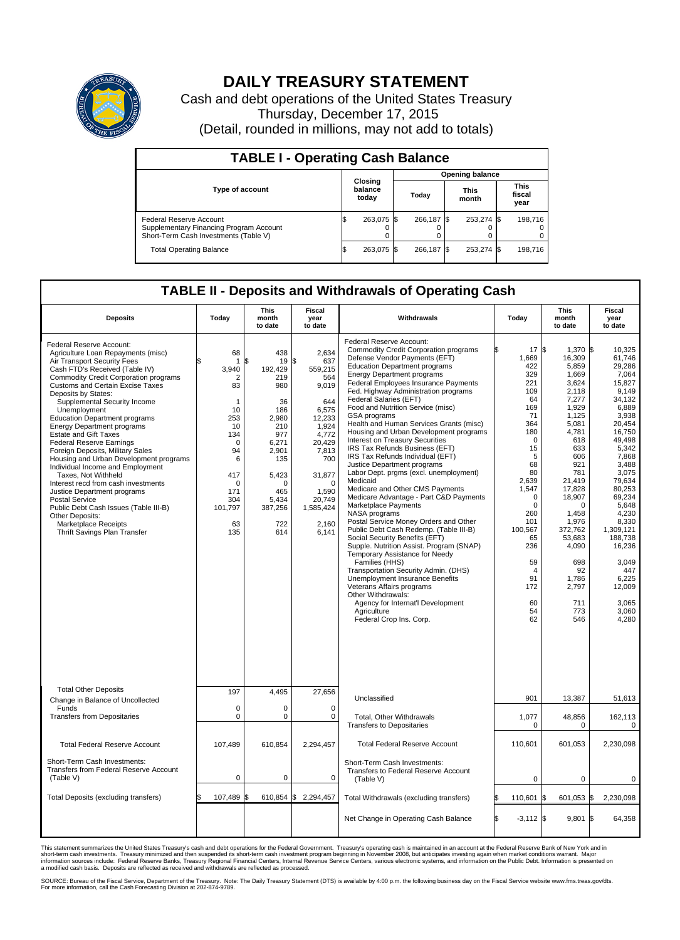

## **DAILY TREASURY STATEMENT**

Cash and debt operations of the United States Treasury Thursday, December 17, 2015 (Detail, rounded in millions, may not add to totals)

| <b>TABLE I - Operating Cash Balance</b>                                                                     |    |                             |                        |            |  |                      |  |                               |  |
|-------------------------------------------------------------------------------------------------------------|----|-----------------------------|------------------------|------------|--|----------------------|--|-------------------------------|--|
|                                                                                                             |    |                             | <b>Opening balance</b> |            |  |                      |  |                               |  |
| <b>Type of account</b>                                                                                      |    | Closing<br>balance<br>today |                        | Today      |  | <b>This</b><br>month |  | <b>This</b><br>fiscal<br>year |  |
| Federal Reserve Account<br>Supplementary Financing Program Account<br>Short-Term Cash Investments (Table V) |    | 263,075 \$                  |                        | 266.187 \$ |  | 253,274 \$           |  | 198.716                       |  |
| <b>Total Operating Balance</b>                                                                              | IЭ | 263,075 \$                  |                        | 266.187 \$ |  | 253,274 \$           |  | 198,716                       |  |

## **TABLE II - Deposits and Withdrawals of Operating Cash**

| <b>Deposits</b>                                                                                                                                                                                                                                                                                                                                                                                                                                                                                                                                                                                                                                                                                                                                                                                               | Today                                                                                                                                                               | <b>This</b><br>month<br>to date                                                                                                                                     | <b>Fiscal</b><br>year<br>to date                                                                                                                                                            | Withdrawals                                                                                                                                                                                                                                                                                                                                                                                                                                                                                                                                                                                                                                                                                                                                                                                                                                                                                                                                                                                                                                                                                                                                                                                             | Today                                                                                                                                                                                                                                                     | <b>This</b><br>month<br>to date                                                                                                                                                                                                                                                      | <b>Fiscal</b><br>year<br>to date                                                                                                                                                                                                                                                                              |
|---------------------------------------------------------------------------------------------------------------------------------------------------------------------------------------------------------------------------------------------------------------------------------------------------------------------------------------------------------------------------------------------------------------------------------------------------------------------------------------------------------------------------------------------------------------------------------------------------------------------------------------------------------------------------------------------------------------------------------------------------------------------------------------------------------------|---------------------------------------------------------------------------------------------------------------------------------------------------------------------|---------------------------------------------------------------------------------------------------------------------------------------------------------------------|---------------------------------------------------------------------------------------------------------------------------------------------------------------------------------------------|---------------------------------------------------------------------------------------------------------------------------------------------------------------------------------------------------------------------------------------------------------------------------------------------------------------------------------------------------------------------------------------------------------------------------------------------------------------------------------------------------------------------------------------------------------------------------------------------------------------------------------------------------------------------------------------------------------------------------------------------------------------------------------------------------------------------------------------------------------------------------------------------------------------------------------------------------------------------------------------------------------------------------------------------------------------------------------------------------------------------------------------------------------------------------------------------------------|-----------------------------------------------------------------------------------------------------------------------------------------------------------------------------------------------------------------------------------------------------------|--------------------------------------------------------------------------------------------------------------------------------------------------------------------------------------------------------------------------------------------------------------------------------------|---------------------------------------------------------------------------------------------------------------------------------------------------------------------------------------------------------------------------------------------------------------------------------------------------------------|
| Federal Reserve Account:<br>Agriculture Loan Repayments (misc)<br>Air Transport Security Fees<br>Cash FTD's Received (Table IV)<br><b>Commodity Credit Corporation programs</b><br><b>Customs and Certain Excise Taxes</b><br>Deposits by States:<br>Supplemental Security Income<br>Unemployment<br><b>Education Department programs</b><br><b>Energy Department programs</b><br><b>Estate and Gift Taxes</b><br><b>Federal Reserve Earnings</b><br>Foreign Deposits, Military Sales<br>Housing and Urban Development programs<br>Individual Income and Employment<br>Taxes, Not Withheld<br>Interest recd from cash investments<br>Justice Department programs<br><b>Postal Service</b><br>Public Debt Cash Issues (Table III-B)<br>Other Deposits:<br>Marketplace Receipts<br>Thrift Savings Plan Transfer | 68<br>$\mathbf{1}$<br>3,940<br>2<br>83<br>$\mathbf{1}$<br>10<br>253<br>10<br>134<br>$\mathbf 0$<br>94<br>6<br>417<br>$\Omega$<br>171<br>304<br>101,797<br>63<br>135 | 438<br>19<br>\$<br>192,429<br>219<br>980<br>36<br>186<br>2,980<br>210<br>977<br>6,271<br>2,901<br>135<br>5,423<br>$\Omega$<br>465<br>5,434<br>387,256<br>722<br>614 | 2,634<br>\$<br>637<br>559,215<br>564<br>9,019<br>644<br>6,575<br>12,233<br>1,924<br>4.772<br>20,429<br>7,813<br>700<br>31,877<br>$\Omega$<br>1,590<br>20,749<br>1,585,424<br>2,160<br>6,141 | Federal Reserve Account:<br><b>Commodity Credit Corporation programs</b><br>Defense Vendor Payments (EFT)<br><b>Education Department programs</b><br><b>Energy Department programs</b><br><b>Federal Employees Insurance Payments</b><br>Fed. Highway Administration programs<br>Federal Salaries (EFT)<br>Food and Nutrition Service (misc)<br>GSA programs<br>Health and Human Services Grants (misc)<br>Housing and Urban Development programs<br>Interest on Treasury Securities<br>IRS Tax Refunds Business (EFT)<br>IRS Tax Refunds Individual (EFT)<br>Justice Department programs<br>Labor Dept. prgms (excl. unemployment)<br>Medicaid<br>Medicare and Other CMS Payments<br>Medicare Advantage - Part C&D Payments<br>Marketplace Payments<br>NASA programs<br>Postal Service Money Orders and Other<br>Public Debt Cash Redemp. (Table III-B)<br>Social Security Benefits (EFT)<br>Supple. Nutrition Assist. Program (SNAP)<br>Temporary Assistance for Needy<br>Families (HHS)<br>Transportation Security Admin. (DHS)<br>Unemployment Insurance Benefits<br>Veterans Affairs programs<br>Other Withdrawals:<br>Agency for Internat'l Development<br>Agriculture<br>Federal Crop Ins. Corp. | 17S<br>1,669<br>422<br>329<br>221<br>109<br>64<br>169<br>71<br>364<br>180<br>$\Omega$<br>15<br>5<br>68<br>80<br>2,639<br>1,547<br>$\mathbf 0$<br>$\mathbf 0$<br>260<br>101<br>100,567<br>65<br>236<br>59<br>$\overline{4}$<br>91<br>172<br>60<br>54<br>62 | 1,370 \$<br>16,309<br>5,859<br>1,669<br>3.624<br>2,118<br>7,277<br>1,929<br>1,125<br>5,081<br>4,781<br>618<br>633<br>606<br>921<br>781<br>21,419<br>17,828<br>18,907<br>$\Omega$<br>1.458<br>1,976<br>372,762<br>53,683<br>4,090<br>698<br>92<br>1,786<br>2,797<br>711<br>773<br>546 | 10.325<br>61,746<br>29,286<br>7,064<br>15.827<br>9,149<br>34.132<br>6,889<br>3,938<br>20,454<br>16,750<br>49.498<br>5,342<br>7,868<br>3,488<br>3,075<br>79,634<br>80,253<br>69.234<br>5,648<br>4.230<br>8,330<br>1,309,121<br>188,738<br>16,236<br>3,049<br>447<br>6,225<br>12,009<br>3.065<br>3,060<br>4,280 |
| <b>Total Other Deposits</b><br>Change in Balance of Uncollected                                                                                                                                                                                                                                                                                                                                                                                                                                                                                                                                                                                                                                                                                                                                               | 197                                                                                                                                                                 | 4,495                                                                                                                                                               | 27,656                                                                                                                                                                                      | Unclassified                                                                                                                                                                                                                                                                                                                                                                                                                                                                                                                                                                                                                                                                                                                                                                                                                                                                                                                                                                                                                                                                                                                                                                                            | 901                                                                                                                                                                                                                                                       | 13,387                                                                                                                                                                                                                                                                               | 51,613                                                                                                                                                                                                                                                                                                        |
| Funds<br><b>Transfers from Depositaries</b>                                                                                                                                                                                                                                                                                                                                                                                                                                                                                                                                                                                                                                                                                                                                                                   | $\mathbf 0$<br>$\mathbf 0$                                                                                                                                          | 0<br>0                                                                                                                                                              | $\mathbf 0$<br>$\mathbf 0$                                                                                                                                                                  | Total, Other Withdrawals<br><b>Transfers to Depositaries</b>                                                                                                                                                                                                                                                                                                                                                                                                                                                                                                                                                                                                                                                                                                                                                                                                                                                                                                                                                                                                                                                                                                                                            | 1,077<br>$\Omega$                                                                                                                                                                                                                                         | 48,856<br>$\Omega$                                                                                                                                                                                                                                                                   | 162,113<br>$\Omega$                                                                                                                                                                                                                                                                                           |
| <b>Total Federal Reserve Account</b>                                                                                                                                                                                                                                                                                                                                                                                                                                                                                                                                                                                                                                                                                                                                                                          | 107.489                                                                                                                                                             | 610.854                                                                                                                                                             | 2,294,457                                                                                                                                                                                   | <b>Total Federal Reserve Account</b>                                                                                                                                                                                                                                                                                                                                                                                                                                                                                                                                                                                                                                                                                                                                                                                                                                                                                                                                                                                                                                                                                                                                                                    | 110,601                                                                                                                                                                                                                                                   | 601,053                                                                                                                                                                                                                                                                              | 2,230,098                                                                                                                                                                                                                                                                                                     |
| Short-Term Cash Investments:<br><b>Transfers from Federal Reserve Account</b><br>(Table V)                                                                                                                                                                                                                                                                                                                                                                                                                                                                                                                                                                                                                                                                                                                    | $\mathbf 0$                                                                                                                                                         | 0                                                                                                                                                                   | 0                                                                                                                                                                                           | Short-Term Cash Investments:<br>Transfers to Federal Reserve Account<br>(Table V)                                                                                                                                                                                                                                                                                                                                                                                                                                                                                                                                                                                                                                                                                                                                                                                                                                                                                                                                                                                                                                                                                                                       | $\mathbf 0$                                                                                                                                                                                                                                               | 0                                                                                                                                                                                                                                                                                    | 0                                                                                                                                                                                                                                                                                                             |
| Total Deposits (excluding transfers)                                                                                                                                                                                                                                                                                                                                                                                                                                                                                                                                                                                                                                                                                                                                                                          | 107,489                                                                                                                                                             | 610,854                                                                                                                                                             | \$<br>2,294,457                                                                                                                                                                             | Total Withdrawals (excluding transfers)                                                                                                                                                                                                                                                                                                                                                                                                                                                                                                                                                                                                                                                                                                                                                                                                                                                                                                                                                                                                                                                                                                                                                                 | 110,601                                                                                                                                                                                                                                                   | 601,053 \$                                                                                                                                                                                                                                                                           | 2,230,098                                                                                                                                                                                                                                                                                                     |
|                                                                                                                                                                                                                                                                                                                                                                                                                                                                                                                                                                                                                                                                                                                                                                                                               |                                                                                                                                                                     |                                                                                                                                                                     |                                                                                                                                                                                             | Net Change in Operating Cash Balance                                                                                                                                                                                                                                                                                                                                                                                                                                                                                                                                                                                                                                                                                                                                                                                                                                                                                                                                                                                                                                                                                                                                                                    | Ŝ.<br>$-3,112$ \$                                                                                                                                                                                                                                         | 9,801                                                                                                                                                                                                                                                                                | 1\$<br>64,358                                                                                                                                                                                                                                                                                                 |

This statement summarizes the United States Treasury's cash and debt operations for the Federal Government. Treasury's operating cash is maintained in an account at the Federal Reserve Bank of New York and in<br>short-term ca

SOURCE: Bureau of the Fiscal Service, Department of the Treasury. Note: The Daily Treasury Statement (DTS) is available by 4:00 p.m. the following business day on the Fiscal Service website www.fms.treas.gov/dts.<br>For more